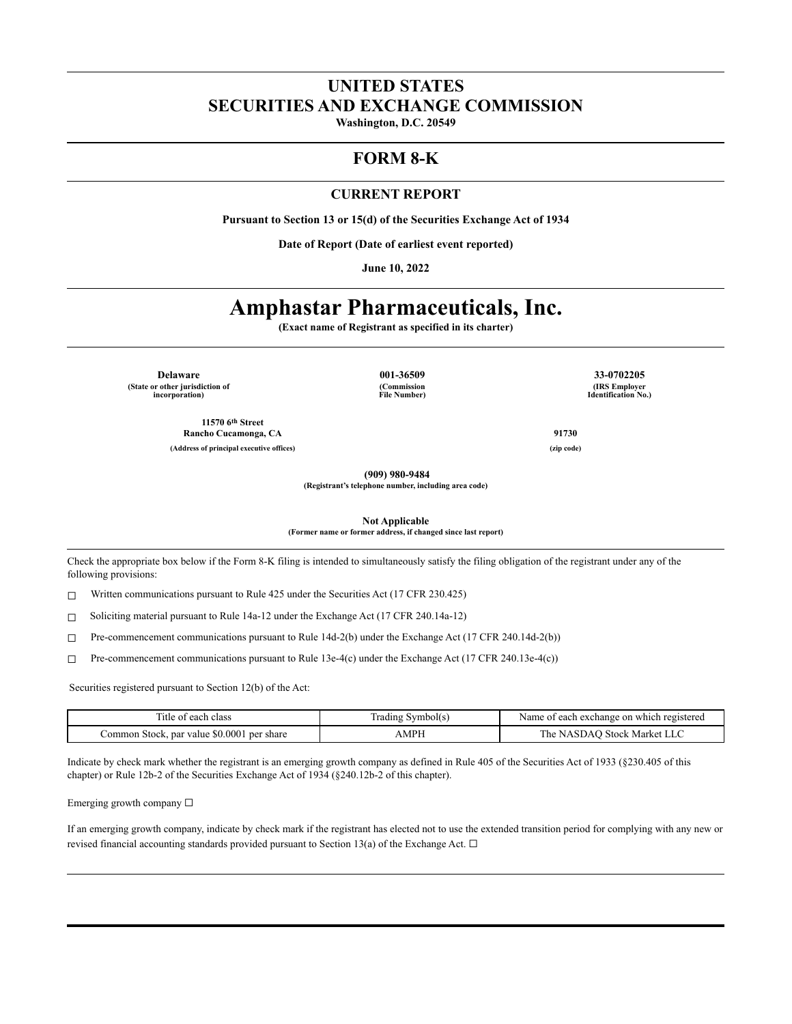# **UNITED STATES SECURITIES AND EXCHANGE COMMISSION**

**Washington, D.C. 20549**

# **FORM 8-K**

#### **CURRENT REPORT**

**Pursuant to Section 13 or 15(d) of the Securities Exchange Act of 1934**

**Date of Report (Date of earliest event reported)**

**June 10, 2022**

# **Amphastar Pharmaceuticals, Inc.**

**(Exact name of Registrant as specified in its charter)**

**Delaware 001-36509 33-0702205 (State or other jurisdiction of incorporation)**

**11570 6 th Street Rancho Cucamonga, CA 91730**

**(Commission File Number)**

**(IRS Employer Identification No.)**

**(909) 980-9484**

**(Registrant's telephone number, including area code)**

**Not Applicable**

**(Former name or former address, if changed since last report)**

Check the appropriate box below if the Form 8-K filing is intended to simultaneously satisfy the filing obligation of the registrant under any of the following provisions:

 $\Box$  Written communications pursuant to Rule 425 under the Securities Act (17 CFR 230.425)

☐ Soliciting material pursuant to Rule 14a-12 under the Exchange Act (17 CFR 240.14a-12)

☐ Pre-commencement communications pursuant to Rule 14d-2(b) under the Exchange Act (17 CFR 240.14d-2(b))

☐ Pre-commencement communications pursuant to Rule 13e-4(c) under the Exchange Act (17 CFR 240.13e-4(c))

Securities registered pursuant to Section 12(b) of the Act:

| Title of each class                                 | Symbol(s)<br>radıng | Name of each exchange on which registered |
|-----------------------------------------------------|---------------------|-------------------------------------------|
| . par value $$0.0001$<br>per share<br>Common Stock. | AMPF                | NASDAO Stock Market LLC<br>he             |

Indicate by check mark whether the registrant is an emerging growth company as defined in Rule 405 of the Securities Act of 1933 (§230.405 of this chapter) or Rule 12b-2 of the Securities Exchange Act of 1934 (§240.12b-2 of this chapter).

Emerging growth company ☐

If an emerging growth company, indicate by check mark if the registrant has elected not to use the extended transition period for complying with any new or revised financial accounting standards provided pursuant to Section 13(a) of the Exchange Act.  $\Box$ 

**(Address of principal executive offices) (zip code)**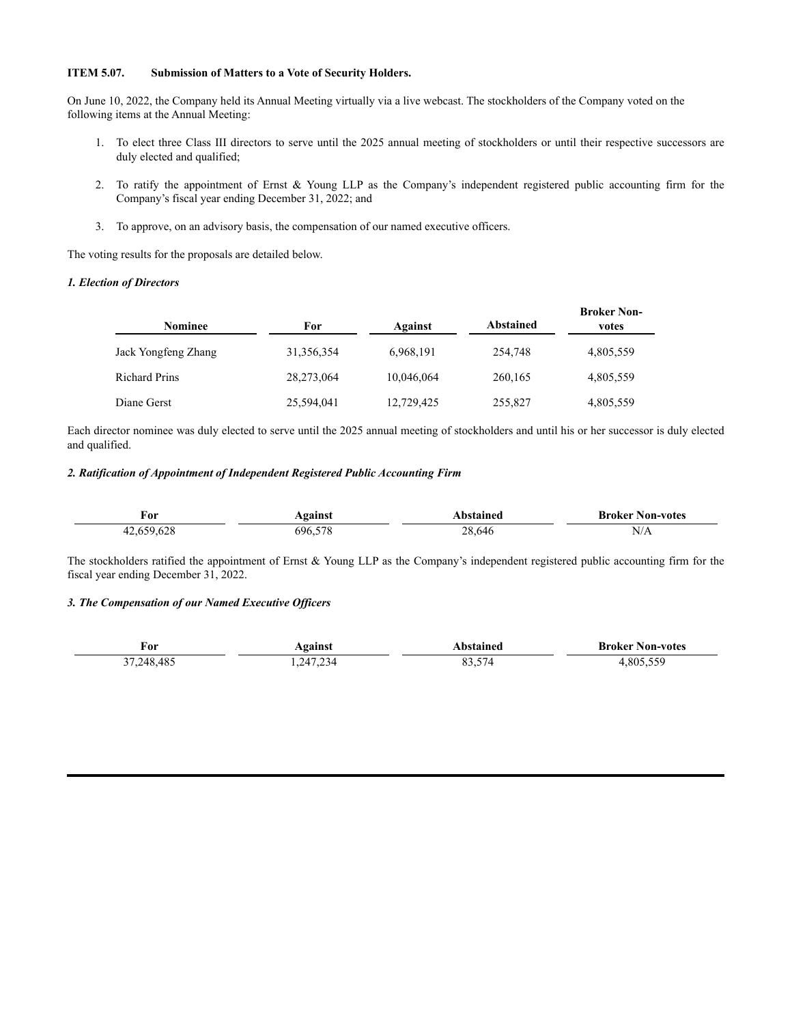## **ITEM 5.07. Submission of Matters to a Vote of Security Holders.**

On June 10, 2022, the Company held its Annual Meeting virtually via a live webcast. The stockholders of the Company voted on the following items at the Annual Meeting:

- 1. To elect three Class III directors to serve until the 2025 annual meeting of stockholders or until their respective successors are duly elected and qualified;
- 2. To ratify the appointment of Ernst & Young LLP as the Company's independent registered public accounting firm for the Company's fiscal year ending December 31, 2022; and
- 3. To approve, on an advisory basis, the compensation of our named executive officers.

The voting results for the proposals are detailed below.

#### *1. Election of Directors*

| <b>Nominee</b>       | For        | Against    | Abstained | <b>Broker Non-</b><br>votes |
|----------------------|------------|------------|-----------|-----------------------------|
| Jack Yongfeng Zhang  | 31,356,354 | 6,968,191  | 254,748   | 4,805,559                   |
| <b>Richard Prins</b> | 28,273,064 | 10,046,064 | 260,165   | 4,805,559                   |
| Diane Gerst          | 25,594,041 | 12,729,425 | 255,827   | 4,805,559                   |

Each director nominee was duly elected to serve until the 2025 annual meeting of stockholders and until his or her successor is duly elected and qualified.

#### *2. Ratification of Appointment of Independent Registered Public Accounting Firm*

| For                         | Against    | <b>\bstained</b> | <b>Broker Non-votes</b>                |
|-----------------------------|------------|------------------|----------------------------------------|
| 5062<br>$\sim$<br>__<br>. . | 570<br>696 | 28.646           | N/A<br>the contract of the contract of |

The stockholders ratified the appointment of Ernst & Young LLP as the Company's independent registered public accounting firm for the fiscal year ending December 31, 2022.

## *3. The Compensation of our Named Executive Of icers*

| For                         | <b>gainst</b> | hstained                  | Broker .<br>Non-votes      |
|-----------------------------|---------------|---------------------------|----------------------------|
| AO<br><sup>- 2</sup> 48.4ა. | 1.234         | $-$<br>$\Omega$<br>، د.ده | $- - -$<br>80 <sup>5</sup> |